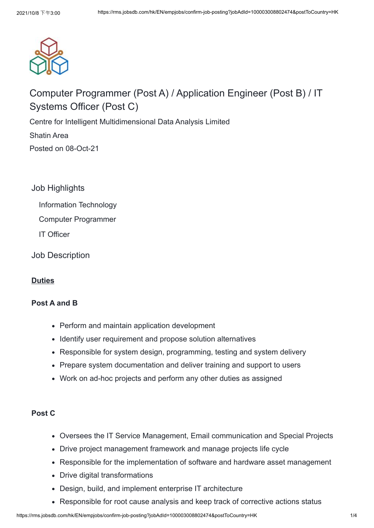

# Computer Programmer (Post A) / Application Engineer (Post B) / IT Systems Officer (Post C)

Centre for Intelligent Multidimensional Data Analysis Limited

[Shatin Area](javascript:void(0))

Posted on 08-Oct-21

Job Highlights

Information Technology

Computer Programmer

IT Officer

Job Description

# **Duties**

#### **Post A and B**

- Perform and maintain application development
- Identify user requirement and propose solution alternatives
- Responsible for system design, programming, testing and system delivery
- Prepare system documentation and deliver training and support to users
- Work on ad-hoc projects and perform any other duties as assigned

#### **Post C**

- Oversees the IT Service Management, Email communication and Special Projects
- Drive project management framework and manage projects life cycle
- Responsible for the implementation of software and hardware asset management
- Drive digital transformations
- Design, build, and implement enterprise IT architecture
- Responsible for root cause analysis and keep track of corrective actions status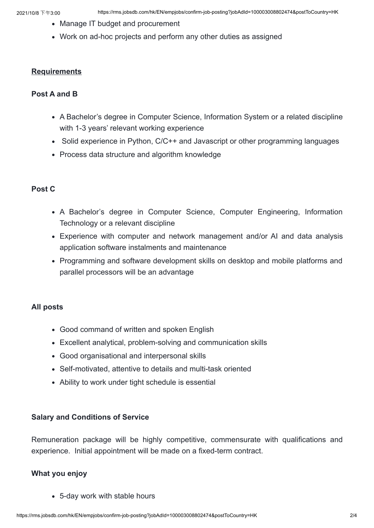- Manage IT budget and procurement
- Work on ad-hoc projects and perform any other duties as assigned

#### **Requirements**

#### **Post A and B**

- A Bachelor's degree in Computer Science, Information System or a related discipline with 1-3 years' relevant working experience
- Solid experience in Python, C/C++ and Javascript or other programming languages
- Process data structure and algorithm knowledge

## **Post C**

- A Bachelor's degree in Computer Science, Computer Engineering, Information Technology or a relevant discipline
- Experience with computer and network management and/or AI and data analysis application software instalments and maintenance
- Programming and software development skills on desktop and mobile platforms and parallel processors will be an advantage

#### **All posts**

- Good command of written and spoken English
- Excellent analytical, problem-solving and communication skills
- Good organisational and interpersonal skills
- Self-motivated, attentive to details and multi-task oriented
- Ability to work under tight schedule is essential

#### **Salary and Conditions of Service**

Remuneration package will be highly competitive, commensurate with qualifications and experience. Initial appointment will be made on a fixed-term contract.

#### **What you enjoy**

5-day work with stable hours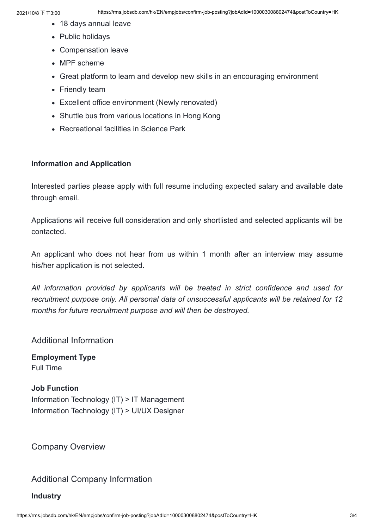- 18 days annual leave
- Public holidays
- Compensation leave
- MPF scheme
- Great platform to learn and develop new skills in an encouraging environment
- Friendly team
- Excellent office environment (Newly renovated)
- Shuttle bus from various locations in Hong Kong
- Recreational facilities in Science Park

#### **Information and Application**

Interested parties please apply with full resume including expected salary and available date through email.

Applications will receive full consideration and only shortlisted and selected applicants will be contacted.

An applicant who does not hear from us within 1 month after an interview may assume his/her application is not selected.

*All information provided by applicants will be treated in strict confidence and used for recruitment purpose only. All personal data of unsuccessful applicants will be retained for 12 months for future recruitment purpose and will then be destroyed.*

#### Additional Information

**Employment Type** Full Time

# **Job Function** Information Technology (IT) > IT Management Information Technology (IT) > UI/UX Designer

Company Overview

# Additional Company Information

**Industry**